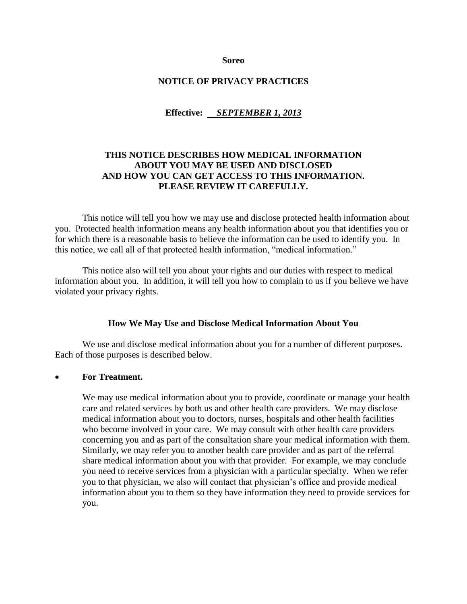**Soreo**

#### **NOTICE OF PRIVACY PRACTICES**

#### **Effective:** *SEPTEMBER 1, 2013*

### **THIS NOTICE DESCRIBES HOW MEDICAL INFORMATION ABOUT YOU MAY BE USED AND DISCLOSED AND HOW YOU CAN GET ACCESS TO THIS INFORMATION. PLEASE REVIEW IT CAREFULLY.**

This notice will tell you how we may use and disclose protected health information about you. Protected health information means any health information about you that identifies you or for which there is a reasonable basis to believe the information can be used to identify you. In this notice, we call all of that protected health information, "medical information."

This notice also will tell you about your rights and our duties with respect to medical information about you. In addition, it will tell you how to complain to us if you believe we have violated your privacy rights.

#### **How We May Use and Disclose Medical Information About You**

We use and disclose medical information about you for a number of different purposes. Each of those purposes is described below.

#### **For Treatment.**

We may use medical information about you to provide, coordinate or manage your health care and related services by both us and other health care providers. We may disclose medical information about you to doctors, nurses, hospitals and other health facilities who become involved in your care. We may consult with other health care providers concerning you and as part of the consultation share your medical information with them. Similarly, we may refer you to another health care provider and as part of the referral share medical information about you with that provider. For example, we may conclude you need to receive services from a physician with a particular specialty. When we refer you to that physician, we also will contact that physician's office and provide medical information about you to them so they have information they need to provide services for you.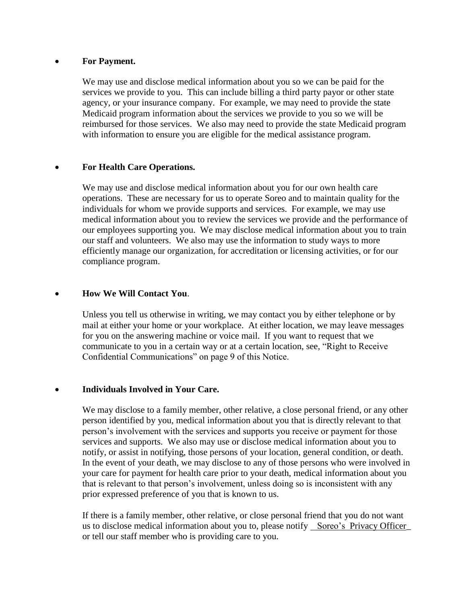### **For Payment.**

We may use and disclose medical information about you so we can be paid for the services we provide to you. This can include billing a third party payor or other state agency, or your insurance company. For example, we may need to provide the state Medicaid program information about the services we provide to you so we will be reimbursed for those services. We also may need to provide the state Medicaid program with information to ensure you are eligible for the medical assistance program.

### **For Health Care Operations.**

We may use and disclose medical information about you for our own health care operations. These are necessary for us to operate Soreo and to maintain quality for the individuals for whom we provide supports and services. For example, we may use medical information about you to review the services we provide and the performance of our employees supporting you. We may disclose medical information about you to train our staff and volunteers. We also may use the information to study ways to more efficiently manage our organization, for accreditation or licensing activities, or for our compliance program.

### **How We Will Contact You**.

Unless you tell us otherwise in writing, we may contact you by either telephone or by mail at either your home or your workplace. At either location, we may leave messages for you on the answering machine or voice mail. If you want to request that we communicate to you in a certain way or at a certain location, see*,* "Right to Receive Confidential Communications" on page 9 of this Notice.

# **Individuals Involved in Your Care.**

We may disclose to a family member, other relative, a close personal friend, or any other person identified by you, medical information about you that is directly relevant to that person's involvement with the services and supports you receive or payment for those services and supports. We also may use or disclose medical information about you to notify, or assist in notifying, those persons of your location, general condition, or death. In the event of your death, we may disclose to any of those persons who were involved in your care for payment for health care prior to your death, medical information about you that is relevant to that person's involvement, unless doing so is inconsistent with any prior expressed preference of you that is known to us.

If there is a family member, other relative, or close personal friend that you do not want us to disclose medical information about you to, please notify Soreo's Privacy Officer or tell our staff member who is providing care to you.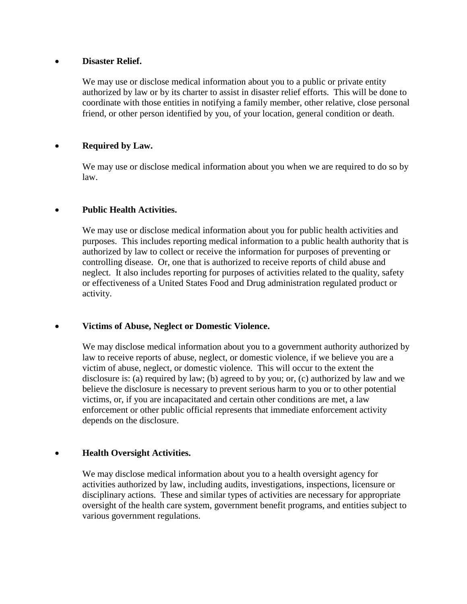### **Disaster Relief.**

We may use or disclose medical information about you to a public or private entity authorized by law or by its charter to assist in disaster relief efforts. This will be done to coordinate with those entities in notifying a family member, other relative, close personal friend, or other person identified by you, of your location, general condition or death.

# **Required by Law.**

We may use or disclose medical information about you when we are required to do so by law.

# **Public Health Activities.**

We may use or disclose medical information about you for public health activities and purposes. This includes reporting medical information to a public health authority that is authorized by law to collect or receive the information for purposes of preventing or controlling disease. Or, one that is authorized to receive reports of child abuse and neglect. It also includes reporting for purposes of activities related to the quality, safety or effectiveness of a United States Food and Drug administration regulated product or activity.

# **Victims of Abuse, Neglect or Domestic Violence.**

We may disclose medical information about you to a government authority authorized by law to receive reports of abuse, neglect, or domestic violence, if we believe you are a victim of abuse, neglect, or domestic violence. This will occur to the extent the disclosure is: (a) required by law; (b) agreed to by you; or, (c) authorized by law and we believe the disclosure is necessary to prevent serious harm to you or to other potential victims, or, if you are incapacitated and certain other conditions are met, a law enforcement or other public official represents that immediate enforcement activity depends on the disclosure.

# **Health Oversight Activities.**

We may disclose medical information about you to a health oversight agency for activities authorized by law, including audits, investigations, inspections, licensure or disciplinary actions. These and similar types of activities are necessary for appropriate oversight of the health care system, government benefit programs, and entities subject to various government regulations.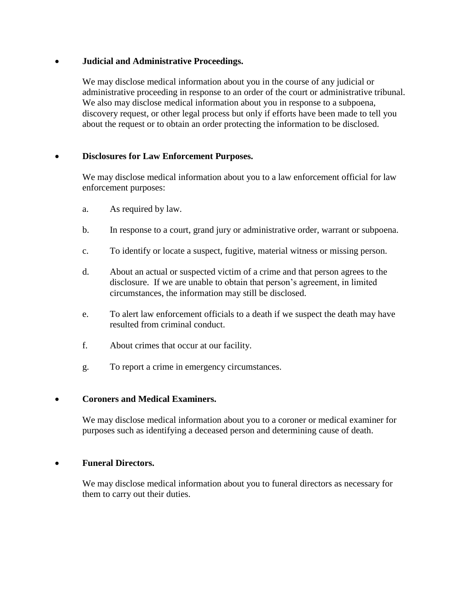### **Judicial and Administrative Proceedings.**

We may disclose medical information about you in the course of any judicial or administrative proceeding in response to an order of the court or administrative tribunal. We also may disclose medical information about you in response to a subpoena, discovery request, or other legal process but only if efforts have been made to tell you about the request or to obtain an order protecting the information to be disclosed.

### **Disclosures for Law Enforcement Purposes.**

We may disclose medical information about you to a law enforcement official for law enforcement purposes:

- a. As required by law.
- b. In response to a court, grand jury or administrative order, warrant or subpoena.
- c. To identify or locate a suspect, fugitive, material witness or missing person.
- d. About an actual or suspected victim of a crime and that person agrees to the disclosure. If we are unable to obtain that person's agreement, in limited circumstances, the information may still be disclosed.
- e. To alert law enforcement officials to a death if we suspect the death may have resulted from criminal conduct.
- f. About crimes that occur at our facility.
- g. To report a crime in emergency circumstances.

#### **Coroners and Medical Examiners.**

We may disclose medical information about you to a coroner or medical examiner for purposes such as identifying a deceased person and determining cause of death.

#### **Funeral Directors.**

We may disclose medical information about you to funeral directors as necessary for them to carry out their duties.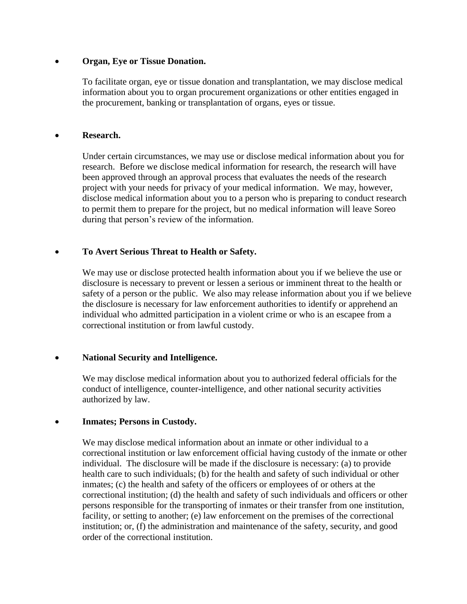### **Organ, Eye or Tissue Donation.**

To facilitate organ, eye or tissue donation and transplantation, we may disclose medical information about you to organ procurement organizations or other entities engaged in the procurement, banking or transplantation of organs, eyes or tissue.

### **Research.**

Under certain circumstances, we may use or disclose medical information about you for research. Before we disclose medical information for research, the research will have been approved through an approval process that evaluates the needs of the research project with your needs for privacy of your medical information. We may, however, disclose medical information about you to a person who is preparing to conduct research to permit them to prepare for the project, but no medical information will leave Soreo during that person's review of the information.

# **To Avert Serious Threat to Health or Safety.**

We may use or disclose protected health information about you if we believe the use or disclosure is necessary to prevent or lessen a serious or imminent threat to the health or safety of a person or the public. We also may release information about you if we believe the disclosure is necessary for law enforcement authorities to identify or apprehend an individual who admitted participation in a violent crime or who is an escapee from a correctional institution or from lawful custody.

# **National Security and Intelligence.**

We may disclose medical information about you to authorized federal officials for the conduct of intelligence, counter-intelligence, and other national security activities authorized by law.

# **Inmates; Persons in Custody.**

We may disclose medical information about an inmate or other individual to a correctional institution or law enforcement official having custody of the inmate or other individual. The disclosure will be made if the disclosure is necessary: (a) to provide health care to such individuals; (b) for the health and safety of such individual or other inmates; (c) the health and safety of the officers or employees of or others at the correctional institution; (d) the health and safety of such individuals and officers or other persons responsible for the transporting of inmates or their transfer from one institution, facility, or setting to another; (e) law enforcement on the premises of the correctional institution; or, (f) the administration and maintenance of the safety, security, and good order of the correctional institution.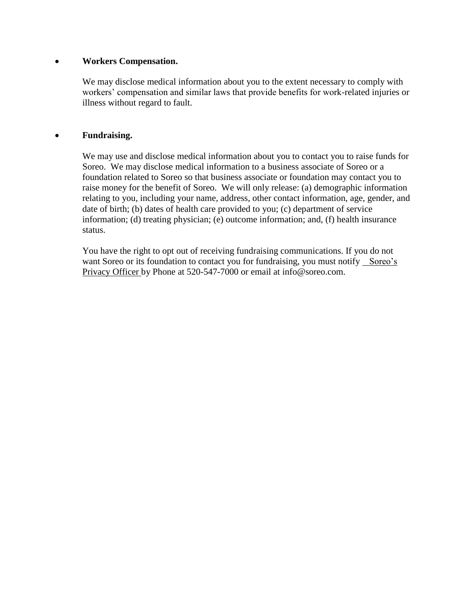### **Workers Compensation.**

We may disclose medical information about you to the extent necessary to comply with workers' compensation and similar laws that provide benefits for work-related injuries or illness without regard to fault.

### **Fundraising.**

We may use and disclose medical information about you to contact you to raise funds for Soreo. We may disclose medical information to a business associate of Soreo or a foundation related to Soreo so that business associate or foundation may contact you to raise money for the benefit of Soreo. We will only release: (a) demographic information relating to you, including your name, address, other contact information, age, gender, and date of birth; (b) dates of health care provided to you; (c) department of service information; (d) treating physician; (e) outcome information; and, (f) health insurance status.

You have the right to opt out of receiving fundraising communications. If you do not want Soreo or its foundation to contact you for fundraising, you must notify Soreo's Privacy Officer by Phone at 520-547-7000 or email at info@soreo.com.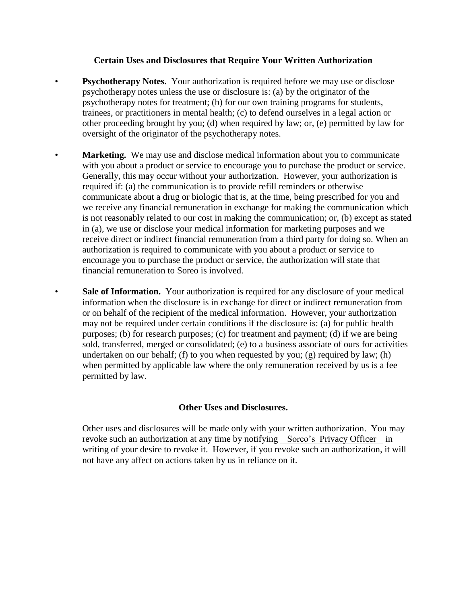#### **Certain Uses and Disclosures that Require Your Written Authorization**

- **Psychotherapy Notes.** Your authorization is required before we may use or disclose psychotherapy notes unless the use or disclosure is: (a) by the originator of the psychotherapy notes for treatment; (b) for our own training programs for students, trainees, or practitioners in mental health; (c) to defend ourselves in a legal action or other proceeding brought by you; (d) when required by law; or, (e) permitted by law for oversight of the originator of the psychotherapy notes.
- **Marketing.** We may use and disclose medical information about you to communicate with you about a product or service to encourage you to purchase the product or service. Generally, this may occur without your authorization. However, your authorization is required if: (a) the communication is to provide refill reminders or otherwise communicate about a drug or biologic that is, at the time, being prescribed for you and we receive any financial remuneration in exchange for making the communication which is not reasonably related to our cost in making the communication; or, (b) except as stated in (a), we use or disclose your medical information for marketing purposes and we receive direct or indirect financial remuneration from a third party for doing so. When an authorization is required to communicate with you about a product or service to encourage you to purchase the product or service, the authorization will state that financial remuneration to Soreo is involved.
- Sale of Information. Your authorization is required for any disclosure of your medical information when the disclosure is in exchange for direct or indirect remuneration from or on behalf of the recipient of the medical information. However, your authorization may not be required under certain conditions if the disclosure is: (a) for public health purposes; (b) for research purposes; (c) for treatment and payment; (d) if we are being sold, transferred, merged or consolidated; (e) to a business associate of ours for activities undertaken on our behalf; (f) to you when requested by you; (g) required by law; (h) when permitted by applicable law where the only remuneration received by us is a fee permitted by law.

# **Other Uses and Disclosures.**

Other uses and disclosures will be made only with your written authorization. You may revoke such an authorization at any time by notifying Soreo's Privacy Officer in writing of your desire to revoke it. However, if you revoke such an authorization, it will not have any affect on actions taken by us in reliance on it.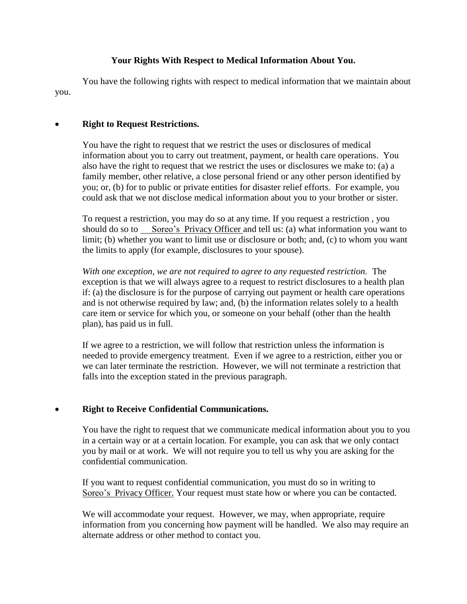# **Your Rights With Respect to Medical Information About You.**

You have the following rights with respect to medical information that we maintain about you.

#### **Right to Request Restrictions.**

You have the right to request that we restrict the uses or disclosures of medical information about you to carry out treatment, payment, or health care operations. You also have the right to request that we restrict the uses or disclosures we make to: (a) a family member, other relative, a close personal friend or any other person identified by you; or, (b) for to public or private entities for disaster relief efforts. For example, you could ask that we not disclose medical information about you to your brother or sister.

To request a restriction, you may do so at any time. If you request a restriction , you should do so to Soreo's Privacy Officer and tell us: (a) what information you want to limit; (b) whether you want to limit use or disclosure or both; and, (c) to whom you want the limits to apply (for example, disclosures to your spouse).

*With one exception, we are not required to agree to any requested restriction.* The exception is that we will always agree to a request to restrict disclosures to a health plan if: (a) the disclosure is for the purpose of carrying out payment or health care operations and is not otherwise required by law; and, (b) the information relates solely to a health care item or service for which you, or someone on your behalf (other than the health plan), has paid us in full.

If we agree to a restriction, we will follow that restriction unless the information is needed to provide emergency treatment. Even if we agree to a restriction, either you or we can later terminate the restriction. However, we will not terminate a restriction that falls into the exception stated in the previous paragraph.

# **Right to Receive Confidential Communications.**

You have the right to request that we communicate medical information about you to you in a certain way or at a certain location. For example, you can ask that we only contact you by mail or at work. We will not require you to tell us why you are asking for the confidential communication.

If you want to request confidential communication, you must do so in writing to Soreo's Privacy Officer. Your request must state how or where you can be contacted.

We will accommodate your request. However, we may, when appropriate, require information from you concerning how payment will be handled. We also may require an alternate address or other method to contact you.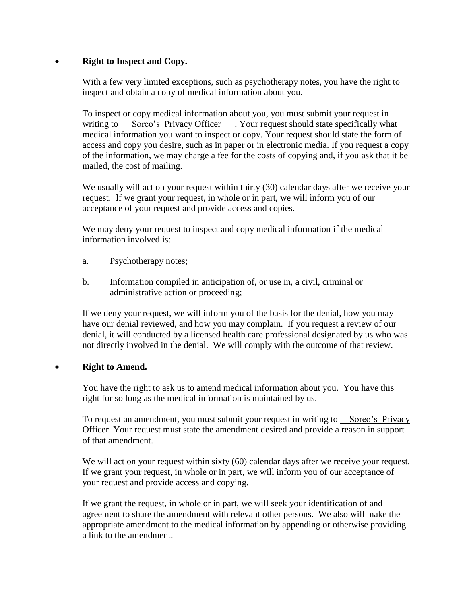# **Right to Inspect and Copy.**

With a few very limited exceptions, such as psychotherapy notes, you have the right to inspect and obtain a copy of medical information about you.

To inspect or copy medical information about you, you must submit your request in writing to Soreo's Privacy Officer . Your request should state specifically what medical information you want to inspect or copy. Your request should state the form of access and copy you desire, such as in paper or in electronic media. If you request a copy of the information, we may charge a fee for the costs of copying and, if you ask that it be mailed, the cost of mailing.

We usually will act on your request within thirty (30) calendar days after we receive your request. If we grant your request, in whole or in part, we will inform you of our acceptance of your request and provide access and copies.

We may deny your request to inspect and copy medical information if the medical information involved is:

- a. Psychotherapy notes;
- b. Information compiled in anticipation of, or use in, a civil, criminal or administrative action or proceeding;

If we deny your request, we will inform you of the basis for the denial, how you may have our denial reviewed, and how you may complain. If you request a review of our denial, it will conducted by a licensed health care professional designated by us who was not directly involved in the denial. We will comply with the outcome of that review.

#### **Right to Amend.**

You have the right to ask us to amend medical information about you. You have this right for so long as the medical information is maintained by us.

To request an amendment, you must submit your request in writing to Soreo's Privacy Officer. Your request must state the amendment desired and provide a reason in support of that amendment.

We will act on your request within sixty (60) calendar days after we receive your request. If we grant your request, in whole or in part, we will inform you of our acceptance of your request and provide access and copying.

If we grant the request, in whole or in part, we will seek your identification of and agreement to share the amendment with relevant other persons. We also will make the appropriate amendment to the medical information by appending or otherwise providing a link to the amendment.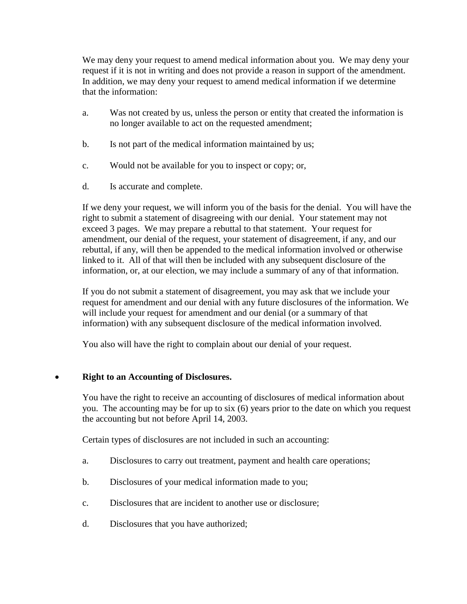We may deny your request to amend medical information about you. We may deny your request if it is not in writing and does not provide a reason in support of the amendment. In addition, we may deny your request to amend medical information if we determine that the information:

- a. Was not created by us, unless the person or entity that created the information is no longer available to act on the requested amendment;
- b. Is not part of the medical information maintained by us;
- c. Would not be available for you to inspect or copy; or,
- d. Is accurate and complete.

If we deny your request, we will inform you of the basis for the denial. You will have the right to submit a statement of disagreeing with our denial. Your statement may not exceed 3 pages. We may prepare a rebuttal to that statement. Your request for amendment, our denial of the request, your statement of disagreement, if any, and our rebuttal, if any, will then be appended to the medical information involved or otherwise linked to it. All of that will then be included with any subsequent disclosure of the information, or, at our election, we may include a summary of any of that information.

If you do not submit a statement of disagreement, you may ask that we include your request for amendment and our denial with any future disclosures of the information. We will include your request for amendment and our denial (or a summary of that information) with any subsequent disclosure of the medical information involved.

You also will have the right to complain about our denial of your request.

# **Right to an Accounting of Disclosures.**

You have the right to receive an accounting of disclosures of medical information about you. The accounting may be for up to six (6) years prior to the date on which you request the accounting but not before April 14, 2003.

Certain types of disclosures are not included in such an accounting:

- a. Disclosures to carry out treatment, payment and health care operations;
- b. Disclosures of your medical information made to you;
- c. Disclosures that are incident to another use or disclosure;
- d. Disclosures that you have authorized;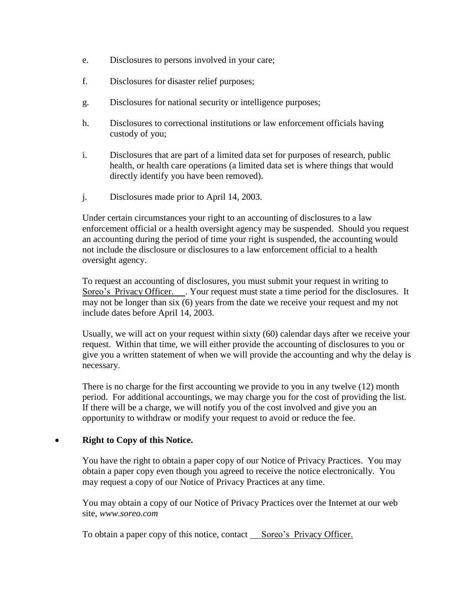- e. Disclosures to persons involved in your care;
- f. Disclosures for disaster relief purposes;
- g. Disclosures for national security or intelligence purposes;
- h. Disclosures to correctional institutions or law enforcement officials having custody of you;
- i. Disclosures that are part of a limited data set for purposes of research, public health, or health care operations (a limited data set is where things that would directly identify you have been removed).
- j. Disclosures made prior to April 14, 2003.

Under certain circumstances your right to an accounting of disclosures to a law enforcement official or a health oversight agency may be suspended. Should you request an accounting during the period of time your right is suspended, the accounting would not include the disclosure or disclosures to a law enforcement official to a health oversight agency.

To request an accounting of disclosures, you must submit your request in writing to Soreo's Privacy Officer. . Your request must state a time period for the disclosures. It may not be longer than six (6) years from the date we receive your request and my not include dates before April 14, 2003.

Usually, we will act on your request within sixty (60) calendar days after we receive your request. Within that time, we will either provide the accounting of disclosures to you or give you a written statement of when we will provide the accounting and why the delay is necessary.

There is no charge for the first accounting we provide to you in any twelve (12) month period. For additional accountings, we may charge you for the cost of providing the list. If there will be a charge, we will notify you of the cost involved and give you an opportunity to withdraw or modify your request to avoid or reduce the fee.

# **Right to Copy of this Notice.**

You have the right to obtain a paper copy of our Notice of Privacy Practices. You may obtain a paper copy even though you agreed to receive the notice electronically. You may request a copy of our Notice of Privacy Practices at any time.

You may obtain a copy of our Notice of Privacy Practices over the Internet at our web site, *www.soreo.com*

To obtain a paper copy of this notice, contact Soreo's Privacy Officer.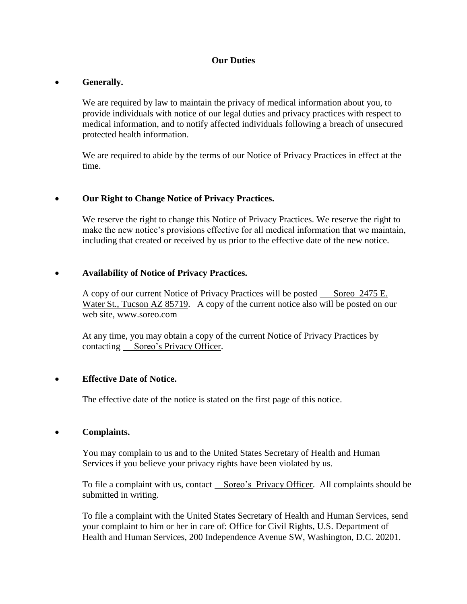### **Our Duties**

#### **Generally.**

We are required by law to maintain the privacy of medical information about you, to provide individuals with notice of our legal duties and privacy practices with respect to medical information, and to notify affected individuals following a breach of unsecured protected health information.

We are required to abide by the terms of our Notice of Privacy Practices in effect at the time.

#### **Our Right to Change Notice of Privacy Practices.**

We reserve the right to change this Notice of Privacy Practices. We reserve the right to make the new notice's provisions effective for all medical information that we maintain, including that created or received by us prior to the effective date of the new notice.

#### **Availability of Notice of Privacy Practices.**

A copy of our current Notice of Privacy Practices will be posted Soreo 2475 E. Water St., Tucson AZ 85719. A copy of the current notice also will be posted on our web site, www.soreo.com

At any time, you may obtain a copy of the current Notice of Privacy Practices by contacting Soreo's Privacy Officer.

#### **Effective Date of Notice.**

The effective date of the notice is stated on the first page of this notice.

#### **Complaints.**

You may complain to us and to the United States Secretary of Health and Human Services if you believe your privacy rights have been violated by us.

To file a complaint with us, contact Soreo's Privacy Officer. All complaints should be submitted in writing.

To file a complaint with the United States Secretary of Health and Human Services, send your complaint to him or her in care of: Office for Civil Rights, U.S. Department of Health and Human Services, 200 Independence Avenue SW, Washington, D.C. 20201.